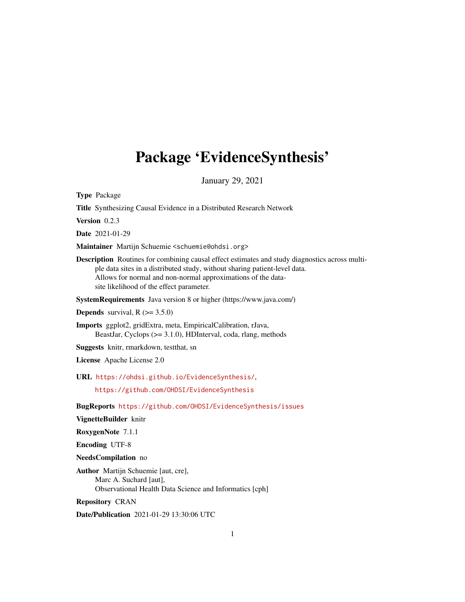## <span id="page-0-0"></span>Package 'EvidenceSynthesis'

January 29, 2021

Type Package

Title Synthesizing Causal Evidence in a Distributed Research Network

Version 0.2.3

Date 2021-01-29

Maintainer Martijn Schuemie <schuemie@ohdsi.org>

Description Routines for combining causal effect estimates and study diagnostics across multiple data sites in a distributed study, without sharing patient-level data. Allows for normal and non-normal approximations of the datasite likelihood of the effect parameter.

SystemRequirements Java version 8 or higher (https://www.java.com/)

**Depends** survival,  $R$  ( $>= 3.5.0$ )

Imports ggplot2, gridExtra, meta, EmpiricalCalibration, rJava, BeastJar, Cyclops (>= 3.1.0), HDInterval, coda, rlang, methods

Suggests knitr, rmarkdown, testthat, sn

License Apache License 2.0

URL <https://ohdsi.github.io/EvidenceSynthesis/>,

<https://github.com/OHDSI/EvidenceSynthesis>

BugReports <https://github.com/OHDSI/EvidenceSynthesis/issues>

VignetteBuilder knitr

RoxygenNote 7.1.1

Encoding UTF-8

NeedsCompilation no

Author Martijn Schuemie [aut, cre], Marc A. Suchard [aut], Observational Health Data Science and Informatics [cph]

Repository CRAN

Date/Publication 2021-01-29 13:30:06 UTC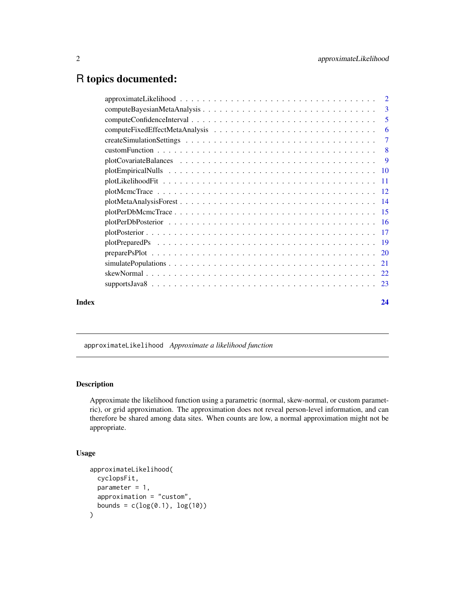## <span id="page-1-0"></span>R topics documented:

| $approximateLikelihood \dots \dots \dots \dots \dots \dots \dots \dots \dots \dots \dots \dots \dots \dots \dots \dots \dots$ |    |
|-------------------------------------------------------------------------------------------------------------------------------|----|
|                                                                                                                               |    |
|                                                                                                                               | -5 |
|                                                                                                                               |    |
|                                                                                                                               |    |
|                                                                                                                               |    |
|                                                                                                                               |    |
|                                                                                                                               |    |
|                                                                                                                               |    |
|                                                                                                                               |    |
|                                                                                                                               |    |
|                                                                                                                               |    |
|                                                                                                                               |    |
|                                                                                                                               |    |
|                                                                                                                               |    |
|                                                                                                                               |    |
|                                                                                                                               |    |
|                                                                                                                               |    |
|                                                                                                                               |    |
| Index                                                                                                                         | 24 |

<span id="page-1-1"></span>approximateLikelihood *Approximate a likelihood function*

#### Description

Approximate the likelihood function using a parametric (normal, skew-normal, or custom parametric), or grid approximation. The approximation does not reveal person-level information, and can therefore be shared among data sites. When counts are low, a normal approximation might not be appropriate.

#### Usage

```
approximateLikelihood(
 cyclopsFit,
 parameter = 1,
 approximation = "custom",
 bounds = c(log(0.1), log(10))\mathcal{E}
```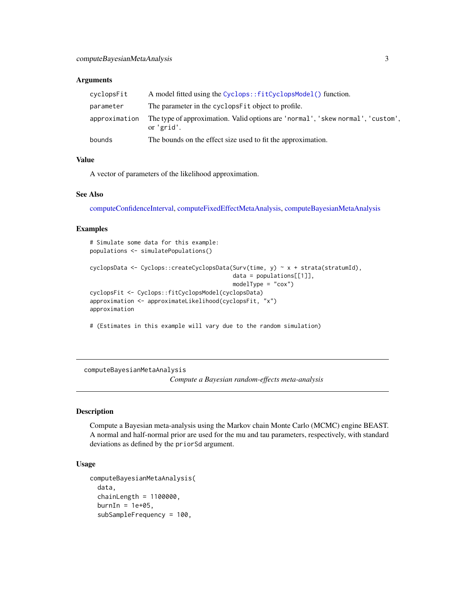#### <span id="page-2-0"></span>**Arguments**

| cyclopsFit    | A model fitted using the Cyclops::fitCyclopsModel() function.                                 |
|---------------|-----------------------------------------------------------------------------------------------|
| parameter     | The parameter in the cyclops Fit object to profile.                                           |
| approximation | The type of approximation. Valid options are 'normal', 'skew normal', 'custom',<br>or 'grid'. |
| bounds        | The bounds on the effect size used to fit the approximation.                                  |

#### Value

A vector of parameters of the likelihood approximation.

#### See Also

[computeConfidenceInterval,](#page-4-1) [computeFixedEffectMetaAnalysis,](#page-5-1) [computeBayesianMetaAnalysis](#page-2-1)

#### Examples

```
# Simulate some data for this example:
populations <- simulatePopulations()
cyclopsData <- Cyclops::createCyclopsData(Surv(time, y) ~ x + strata(stratumId),
                                          data = populations[[1]],
                                          modelType = "cox")cyclopsFit <- Cyclops::fitCyclopsModel(cyclopsData)
approximation <- approximateLikelihood(cyclopsFit, "x")
approximation
```
# (Estimates in this example will vary due to the random simulation)

<span id="page-2-1"></span>computeBayesianMetaAnalysis

*Compute a Bayesian random-effects meta-analysis*

#### Description

Compute a Bayesian meta-analysis using the Markov chain Monte Carlo (MCMC) engine BEAST. A normal and half-normal prior are used for the mu and tau parameters, respectively, with standard deviations as defined by the priorSd argument.

#### Usage

```
computeBayesianMetaAnalysis(
  data,
  chainLength = 1100000,burnIn = 1e+05,
  subSampleFrequency = 100,
```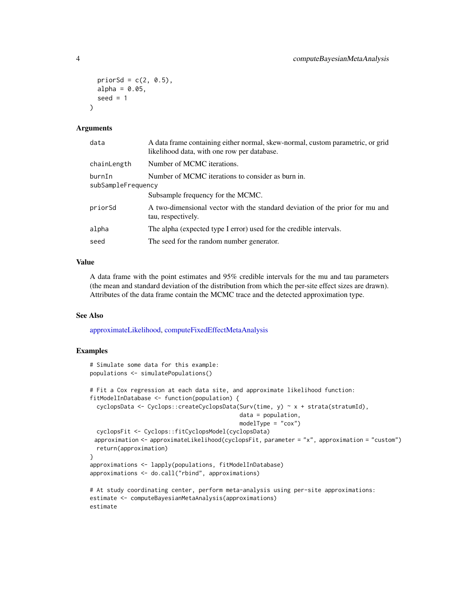```
priorSd = c(2, 0.5),
  alpha = 0.05,
  seed = 1\lambda
```
#### Arguments

| data                         | A data frame containing either normal, skew-normal, custom parametric, or grid<br>likelihood data, with one row per database. |
|------------------------------|-------------------------------------------------------------------------------------------------------------------------------|
| chainLength                  | Number of MCMC iterations.                                                                                                    |
| burnIn<br>subSampleFrequency | Number of MCMC iterations to consider as burn in.                                                                             |
|                              | Subsample frequency for the MCMC.                                                                                             |
| priorSd                      | A two-dimensional vector with the standard deviation of the prior for mu and<br>tau, respectively.                            |
| alpha                        | The alpha (expected type I error) used for the credible intervals.                                                            |
| seed                         | The seed for the random number generator.                                                                                     |

#### Value

A data frame with the point estimates and 95% credible intervals for the mu and tau parameters (the mean and standard deviation of the distribution from which the per-site effect sizes are drawn). Attributes of the data frame contain the MCMC trace and the detected approximation type.

#### See Also

[approximateLikelihood,](#page-1-1) [computeFixedEffectMetaAnalysis](#page-5-1)

```
# Simulate some data for this example:
populations <- simulatePopulations()
# Fit a Cox regression at each data site, and approximate likelihood function:
fitModelInDatabase <- function(population) {
 cyclopsData <- Cyclops::createCyclopsData(Surv(time, y) ~ x + strata(stratumId),
                                            data = population,
                                            modelType = "cox")cyclopsFit <- Cyclops::fitCyclopsModel(cyclopsData)
 approximation <- approximateLikelihood(cyclopsFit, parameter = "x", approximation = "custom")
 return(approximation)
}
approximations <- lapply(populations, fitModelInDatabase)
approximations <- do.call("rbind", approximations)
# At study coordinating center, perform meta-analysis using per-site approximations:
estimate <- computeBayesianMetaAnalysis(approximations)
estimate
```
<span id="page-3-0"></span>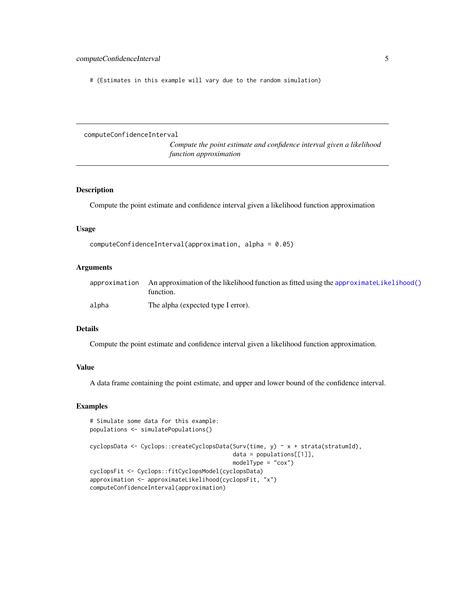<span id="page-4-0"></span># (Estimates in this example will vary due to the random simulation)

<span id="page-4-1"></span>computeConfidenceInterval

*Compute the point estimate and confidence interval given a likelihood function approximation*

#### Description

Compute the point estimate and confidence interval given a likelihood function approximation

#### Usage

```
computeConfidenceInterval(approximation, alpha = 0.05)
```
## Arguments

|       | $approximation$ An approximation of the likelihood function as fitted using the approximatelikelihood()<br>function. |
|-------|----------------------------------------------------------------------------------------------------------------------|
| alpha | The alpha (expected type I error).                                                                                   |

#### Details

Compute the point estimate and confidence interval given a likelihood function approximation.

#### Value

A data frame containing the point estimate, and upper and lower bound of the confidence interval.

```
# Simulate some data for this example:
populations <- simulatePopulations()
cyclopsData <- Cyclops::createCyclopsData(Surv(time, y) ~ x + strata(stratumId),
                                          data = population[1]],
                                          modelType = "cox")
cyclopsFit <- Cyclops::fitCyclopsModel(cyclopsData)
approximation <- approximateLikelihood(cyclopsFit, "x")
computeConfidenceInterval(approximation)
```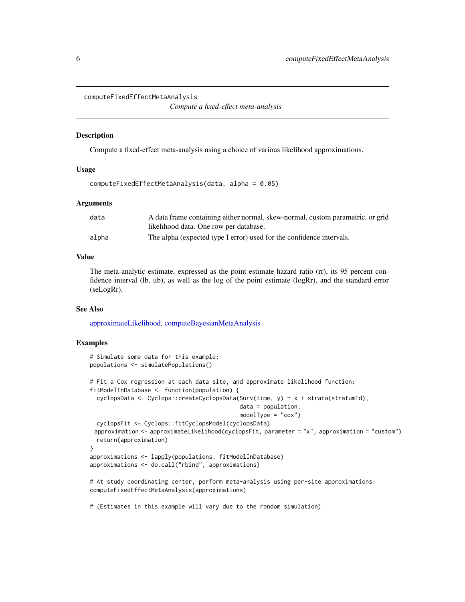```
computeFixedEffectMetaAnalysis
```
*Compute a fixed-effect meta-analysis*

#### **Description**

Compute a fixed-effect meta-analysis using a choice of various likelihood approximations.

#### Usage

```
computeFixedEffectMetaAnalysis(data, alpha = 0.05)
```
#### Arguments

| data  | A data frame containing either normal, skew-normal, custom parametric, or grid |
|-------|--------------------------------------------------------------------------------|
|       | likelihood data. One row per database.                                         |
| alpha | The alpha (expected type I error) used for the confidence intervals.           |

#### Value

The meta-analytic estimate, expressed as the point estimate hazard ratio (rr), its 95 percent confidence interval (lb, ub), as well as the log of the point estimate (logRr), and the standard error (seLogRr).

#### See Also

[approximateLikelihood,](#page-1-1) [computeBayesianMetaAnalysis](#page-2-1)

#### Examples

```
# Simulate some data for this example:
populations <- simulatePopulations()
# Fit a Cox regression at each data site, and approximate likelihood function:
fitModelInDatabase <- function(population) {
 cyclopsData <- Cyclops::createCyclopsData(Surv(time, y) ~ x + strata(stratumId),
                                            data = population,
                                            modelType = "cox")cyclopsFit <- Cyclops::fitCyclopsModel(cyclopsData)
 approximation <- approximateLikelihood(cyclopsFit, parameter = "x", approximation = "custom")
 return(approximation)
}
approximations <- lapply(populations, fitModelInDatabase)
approximations <- do.call("rbind", approximations)
# At study coordinating center, perform meta-analysis using per-site approximations:
computeFixedEffectMetaAnalysis(approximations)
```
# (Estimates in this example will vary due to the random simulation)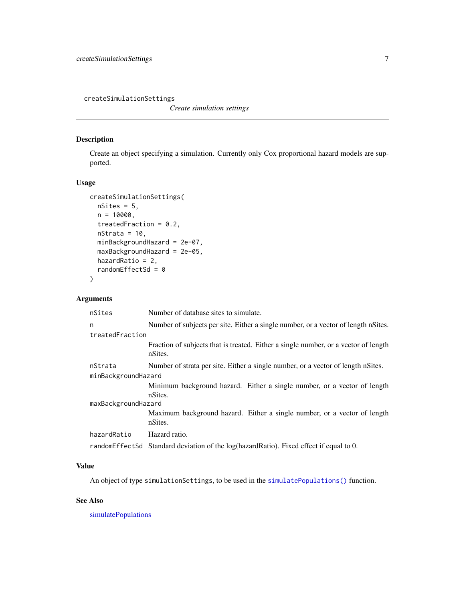<span id="page-6-1"></span><span id="page-6-0"></span>createSimulationSettings

*Create simulation settings*

#### Description

Create an object specifying a simulation. Currently only Cox proportional hazard models are supported.

#### Usage

```
createSimulationSettings(
  nsites = 5,
  n = 10000,treatedFraction = 0.2,
  nStrata = 10,
  minBackgroundHazard = 2e-07,
  maxBackgroundHazard = 2e-05,
  hazardRatio = 2,
  randomEffectSd = \theta)
```
#### Arguments

| nSites              | Number of database sites to simulate.                                                          |  |
|---------------------|------------------------------------------------------------------------------------------------|--|
| n                   | Number of subjects per site. Either a single number, or a vector of length nSites.             |  |
| treatedFraction     |                                                                                                |  |
|                     | Fraction of subjects that is treated. Either a single number, or a vector of length<br>nSites. |  |
| nStrata             | Number of strata per site. Either a single number, or a vector of length nSites.               |  |
| minBackgroundHazard |                                                                                                |  |
|                     | Minimum background hazard. Either a single number, or a vector of length<br>nSites.            |  |
| maxBackgroundHazard |                                                                                                |  |
|                     | Maximum background hazard. Either a single number, or a vector of length<br>nSites.            |  |
| hazardRatio         | Hazard ratio.                                                                                  |  |
|                     | randomEffectSd Standard deviation of the log(hazardRatio). Fixed effect if equal to 0.         |  |

#### Value

An object of type simulationSettings, to be used in the [simulatePopulations\(\)](#page-20-1) function.

#### See Also

[simulatePopulations](#page-20-1)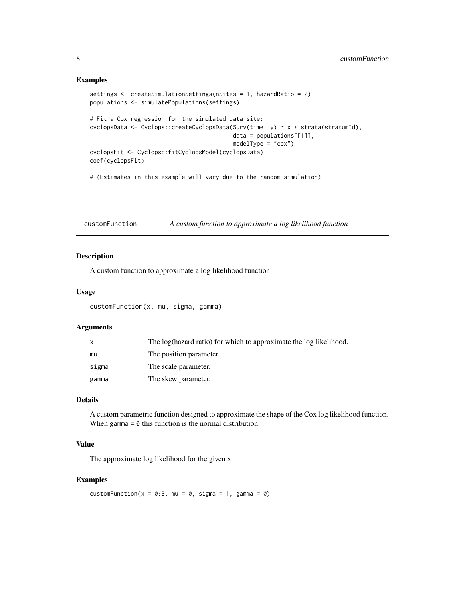#### Examples

```
settings <- createSimulationSettings(nSites = 1, hazardRatio = 2)
populations <- simulatePopulations(settings)
# Fit a Cox regression for the simulated data site:
cyclopsData <- Cyclops::createCyclopsData(Surv(time, y) ~ x + strata(stratumId),
                                          data = population[1]],
                                          modelType = "cox")
cyclopsFit <- Cyclops::fitCyclopsModel(cyclopsData)
coef(cyclopsFit)
# (Estimates in this example will vary due to the random simulation)
```
customFunction *A custom function to approximate a log likelihood function*

#### Description

A custom function to approximate a log likelihood function

#### Usage

customFunction(x, mu, sigma, gamma)

#### Arguments

|       | The log(hazard ratio) for which to approximate the log likelihood. |
|-------|--------------------------------------------------------------------|
| mu    | The position parameter.                                            |
| sigma | The scale parameter.                                               |
| gamma | The skew parameter.                                                |

#### Details

A custom parametric function designed to approximate the shape of the Cox log likelihood function. When gamma  $= 0$  this function is the normal distribution.

#### Value

The approximate log likelihood for the given x.

#### Examples

customFunction( $x = 0:3$ , mu = 0, sigma = 1, gamma = 0)

<span id="page-7-0"></span>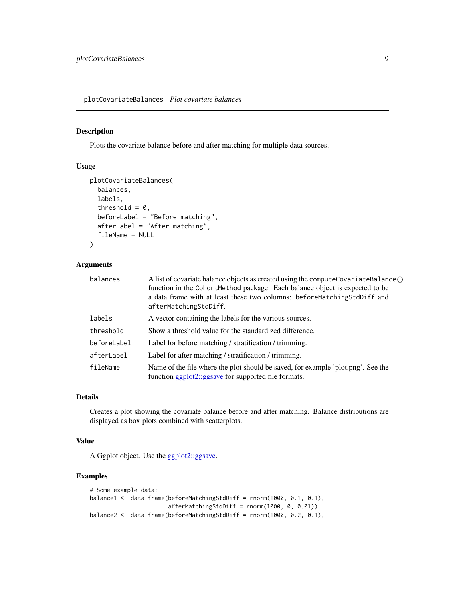<span id="page-8-0"></span>plotCovariateBalances *Plot covariate balances*

#### Description

Plots the covariate balance before and after matching for multiple data sources.

#### Usage

```
plotCovariateBalances(
  balances,
  labels,
  threshold = 0,
  beforeLabel = "Before matching",
  afterLabel = "After matching",
  fileName = NULL
)
```
#### Arguments

| balances    | A list of covariate balance objects as created using the compute Covariate Balance ()<br>function in the CohortMethod package. Each balance object is expected to be<br>a data frame with at least these two columns: before Matching StdDiff and<br>afterMatchingStdDiff. |
|-------------|----------------------------------------------------------------------------------------------------------------------------------------------------------------------------------------------------------------------------------------------------------------------------|
| labels      | A vector containing the labels for the various sources.                                                                                                                                                                                                                    |
| threshold   | Show a threshold value for the standardized difference.                                                                                                                                                                                                                    |
| beforeLabel | Label for before matching / stratification / trimming.                                                                                                                                                                                                                     |
| afterLabel  | Label for after matching / stratification / trimming.                                                                                                                                                                                                                      |
| fileName    | Name of the file where the plot should be saved, for example 'plot.png'. See the<br>function ggplot2::ggsave for supported file formats.                                                                                                                                   |

#### Details

Creates a plot showing the covariate balance before and after matching. Balance distributions are displayed as box plots combined with scatterplots.

#### Value

A Ggplot object. Use the [ggplot2::ggsave.](#page-0-0)

```
# Some example data:
balance1 <- data.frame(beforeMatchingStdDiff = rnorm(1000, 0.1, 0.1),
                       afterMatchingStdDiff = rnorm(1000, 0, 0.01))
balance2 <- data.frame(beforeMatchingStdDiff = rnorm(1000, 0.2, 0.1),
```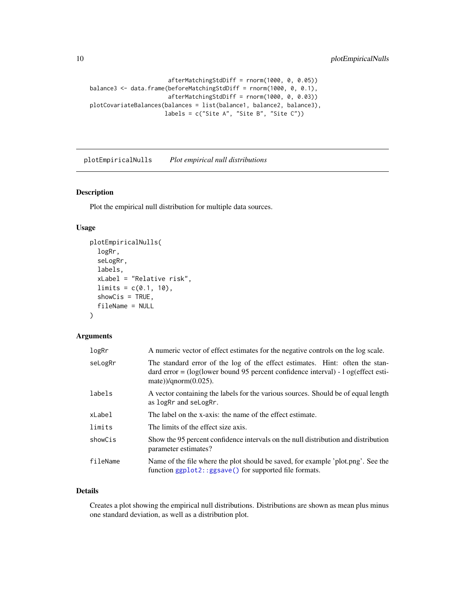```
afterMatchingStdDiff = rnorm(1000, 0, 0.05))
balance3 <- data.frame(beforeMatchingStdDiff = rnorm(1000, 0, 0.1),
                       afterMatchingStdDiff = rnorm(1000, 0, 0.03))
plotCovariateBalances(balances = list(balance1, balance2, balance3),
                      labels = c("Site A", "Site B", "Site C"))
```
plotEmpiricalNulls *Plot empirical null distributions*

#### Description

Plot the empirical null distribution for multiple data sources.

#### Usage

```
plotEmpiricalNulls(
  logRr,
  seLogRr,
  labels,
  xLabel = "Relative risk",
  limits = c(0.1, 10),showCis = TRUE,
  fileName = NULL
\lambda
```
#### Arguments

| logRr    | A numeric vector of effect estimates for the negative controls on the log scale.                                                                                                                 |
|----------|--------------------------------------------------------------------------------------------------------------------------------------------------------------------------------------------------|
| seLogRr  | The standard error of the log of the effect estimates. Hint: often the stan-<br>dard error = $(log(lower bound 95 percent confidence interval) - 1 og (effect esti-$<br>mate))/ $qnorm(0.025)$ . |
| labels   | A vector containing the labels for the various sources. Should be of equal length<br>as logRr and seLogRr.                                                                                       |
| xLabel   | The label on the x-axis: the name of the effect estimate.                                                                                                                                        |
| limits   | The limits of the effect size axis.                                                                                                                                                              |
| showCis  | Show the 95 percent confidence intervals on the null distribution and distribution<br>parameter estimates?                                                                                       |
| fileName | Name of the file where the plot should be saved, for example 'plot.png'. See the<br>function ggplot2::ggsave() for supported file formats.                                                       |

#### Details

Creates a plot showing the empirical null distributions. Distributions are shown as mean plus minus one standard deviation, as well as a distribution plot.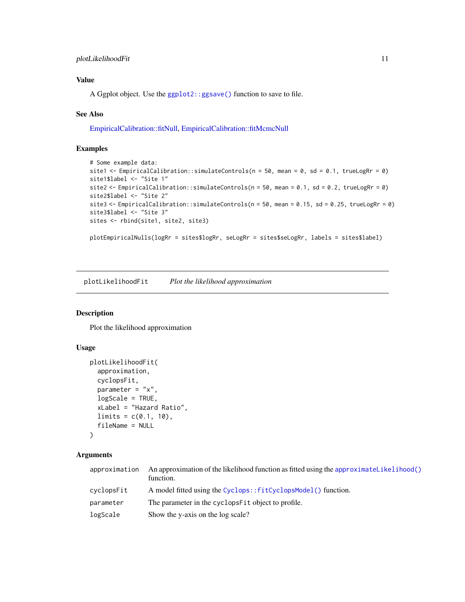#### <span id="page-10-0"></span>plotLikelihoodFit 11

## Value

A Ggplot object. Use the [ggplot2::ggsave\(\)](#page-0-0) function to save to file.

#### See Also

[EmpiricalCalibration::fitNull,](#page-0-0) [EmpiricalCalibration::fitMcmcNull](#page-0-0)

#### Examples

```
# Some example data:
site1 <- EmpiricalCalibration::simulateControls(n = 50, mean = 0, sd = 0.1, trueLogRr = 0)
site1$label <- "Site 1"
site2 <- EmpiricalCalibration::simulateControls(n = 50, mean = 0.1, sd = 0.2, trueLogRr = 0)
site2$label <- "Site 2"
site3 <- EmpiricalCalibration::simulateControls(n = 50, mean = 0.15, sd = 0.25, trueLogRr = 0)
site3$label <- "Site 3"
sites <- rbind(site1, site2, site3)
```
plotEmpiricalNulls(logRr = sites\$logRr, seLogRr = sites\$seLogRr, labels = sites\$label)

plotLikelihoodFit *Plot the likelihood approximation*

#### Description

Plot the likelihood approximation

#### Usage

```
plotLikelihoodFit(
  approximation,
  cyclopsFit,
  parameter = "x",logScale = TRUE,
  xLabel = "Hazard Ratio",
 limits = c(0.1, 10),fileName = NULL
)
```
#### **Arguments**

| approximation | An approximation of the likelihood function as fitted using the approximatelikelihood()<br>function. |
|---------------|------------------------------------------------------------------------------------------------------|
| cyclopsFit    | A model fitted using the Cyclops::fitCyclopsModel() function.                                        |
| parameter     | The parameter in the cyclopsFit object to profile.                                                   |
| logScale      | Show the y-axis on the log scale?                                                                    |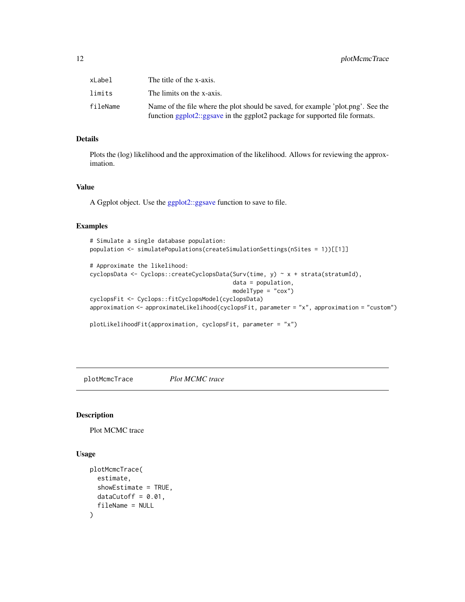<span id="page-11-0"></span>

| xLabel   | The title of the x-axis.                                                                                                                                        |
|----------|-----------------------------------------------------------------------------------------------------------------------------------------------------------------|
| limits   | The limits on the x-axis.                                                                                                                                       |
| fileName | Name of the file where the plot should be saved, for example 'plot.png'. See the<br>function ggplot2::ggsave in the ggplot2 package for supported file formats. |

#### Details

Plots the (log) likelihood and the approximation of the likelihood. Allows for reviewing the approximation.

#### Value

A Ggplot object. Use the [ggplot2::ggsave](#page-0-0) function to save to file.

#### Examples

```
# Simulate a single database population:
population <- simulatePopulations(createSimulationSettings(nSites = 1))[[1]]
# Approximate the likelihood:
cyclopsData <- Cyclops::createCyclopsData(Surv(time, y) ~ x + strata(stratumId),
                                          data = population,
                                          modelType = "cox")cyclopsFit <- Cyclops::fitCyclopsModel(cyclopsData)
approximation <- approximateLikelihood(cyclopsFit, parameter = "x", approximation = "custom")
plotLikelihoodFit(approximation, cyclopsFit, parameter = "x")
```
plotMcmcTrace *Plot MCMC trace*

#### Description

Plot MCMC trace

#### Usage

```
plotMcmcTrace(
 estimate,
  showEstimate = TRUE,
 dataCutoff = 0.01,
  fileName = NULL
)
```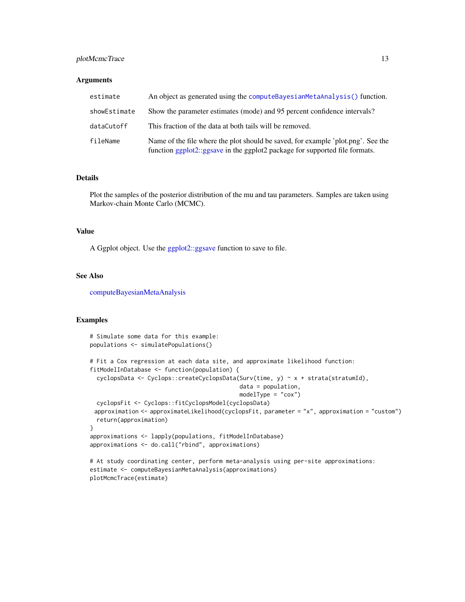#### <span id="page-12-0"></span>plotMcmcTrace 13

#### **Arguments**

| estimate     | An object as generated using the compute BayesianMetaAnalysis() function.                                                                                       |
|--------------|-----------------------------------------------------------------------------------------------------------------------------------------------------------------|
| showEstimate | Show the parameter estimates (mode) and 95 percent confidence intervals?                                                                                        |
| dataCutoff   | This fraction of the data at both tails will be removed.                                                                                                        |
| fileName     | Name of the file where the plot should be saved, for example 'plot.png'. See the<br>function ggplot2::ggsave in the ggplot2 package for supported file formats. |

#### Details

Plot the samples of the posterior distribution of the mu and tau parameters. Samples are taken using Markov-chain Monte Carlo (MCMC).

#### Value

A Ggplot object. Use the [ggplot2::ggsave](#page-0-0) function to save to file.

#### See Also

[computeBayesianMetaAnalysis](#page-2-1)

```
# Simulate some data for this example:
populations <- simulatePopulations()
# Fit a Cox regression at each data site, and approximate likelihood function:
fitModelInDatabase <- function(population) {
 cyclopsData <- Cyclops::createCyclopsData(Surv(time, y) ~ x + strata(stratumId),
                                            data = population,
                                            modelType = "cox")
 cyclopsFit <- Cyclops::fitCyclopsModel(cyclopsData)
 approximation <- approximateLikelihood(cyclopsFit, parameter = "x", approximation = "custom")
 return(approximation)
}
approximations <- lapply(populations, fitModelInDatabase)
approximations <- do.call("rbind", approximations)
# At study coordinating center, perform meta-analysis using per-site approximations:
estimate <- computeBayesianMetaAnalysis(approximations)
```

```
plotMcmcTrace(estimate)
```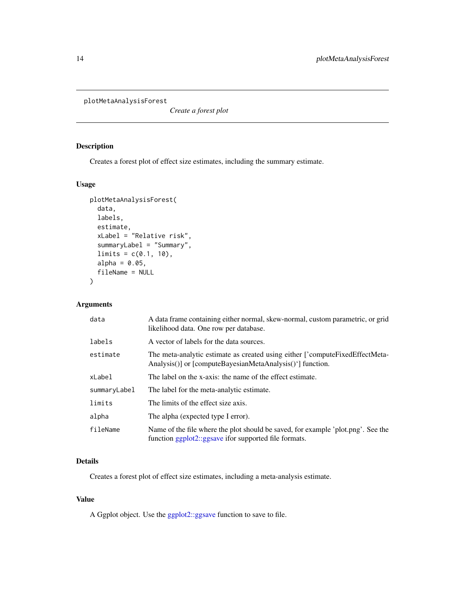<span id="page-13-0"></span>plotMetaAnalysisForest

*Create a forest plot*

#### Description

Creates a forest plot of effect size estimates, including the summary estimate.

## Usage

```
plotMetaAnalysisForest(
  data,
  labels,
  estimate,
  xLabel = "Relative risk",
  summaryLabel = "Summary",
  limits = c(0.1, 10),alpha = 0.05,
  fileName = NULL
)
```
## Arguments

| data         | A data frame containing either normal, skew-normal, custom parametric, or grid<br>likelihood data. One row per database.                   |
|--------------|--------------------------------------------------------------------------------------------------------------------------------------------|
| labels       | A vector of labels for the data sources.                                                                                                   |
| estimate     | The meta-analytic estimate as created using either Compute Fixed Effect Meta-<br>Analysis()] or [computeBayesianMetaAnalysis()'] function. |
| xLabel       | The label on the x-axis: the name of the effect estimate.                                                                                  |
| summaryLabel | The label for the meta-analytic estimate.                                                                                                  |
| limits       | The limits of the effect size axis.                                                                                                        |
| alpha        | The alpha (expected type I error).                                                                                                         |
| fileName     | Name of the file where the plot should be saved, for example 'plot.png'. See the<br>function ggplot2::ggsave ifor supported file formats.  |

#### Details

Creates a forest plot of effect size estimates, including a meta-analysis estimate.

#### Value

A Ggplot object. Use the [ggplot2::ggsave](#page-0-0) function to save to file.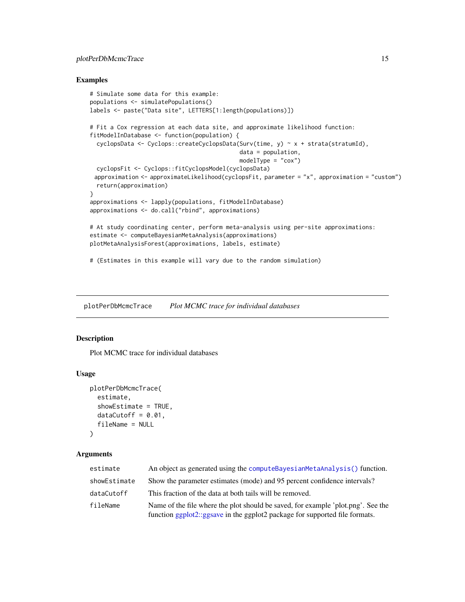#### <span id="page-14-0"></span>plotPerDbMcmcTrace 15

#### Examples

```
# Simulate some data for this example:
populations <- simulatePopulations()
labels <- paste("Data site", LETTERS[1:length(populations)])
# Fit a Cox regression at each data site, and approximate likelihood function:
fitModelInDatabase <- function(population) {
  cyclopsData <- Cyclops::createCyclopsData(Surv(time, y) ~ x + strata(stratumId),
                                            data = population,
                                            modelType = "cox")cyclopsFit <- Cyclops::fitCyclopsModel(cyclopsData)
 approximation <- approximateLikelihood(cyclopsFit, parameter = "x", approximation = "custom")
  return(approximation)
}
approximations <- lapply(populations, fitModelInDatabase)
approximations <- do.call("rbind", approximations)
# At study coordinating center, perform meta-analysis using per-site approximations:
estimate <- computeBayesianMetaAnalysis(approximations)
plotMetaAnalysisForest(approximations, labels, estimate)
# (Estimates in this example will vary due to the random simulation)
```
plotPerDbMcmcTrace *Plot MCMC trace for individual databases*

#### Description

Plot MCMC trace for individual databases

#### Usage

```
plotPerDbMcmcTrace(
  estimate,
  showEstimate = TRUE,
  dataCutoff = 0.01,
  fileName = NULL
)
```
#### Arguments

| estimate     | An object as generated using the compute Bayesian Meta Analysis () function.                                                                                    |
|--------------|-----------------------------------------------------------------------------------------------------------------------------------------------------------------|
| showEstimate | Show the parameter estimates (mode) and 95 percent confidence intervals?                                                                                        |
| dataCutoff   | This fraction of the data at both tails will be removed.                                                                                                        |
| fileName     | Name of the file where the plot should be saved, for example 'plot.png'. See the<br>function ggplot2::ggsave in the ggplot2 package for supported file formats. |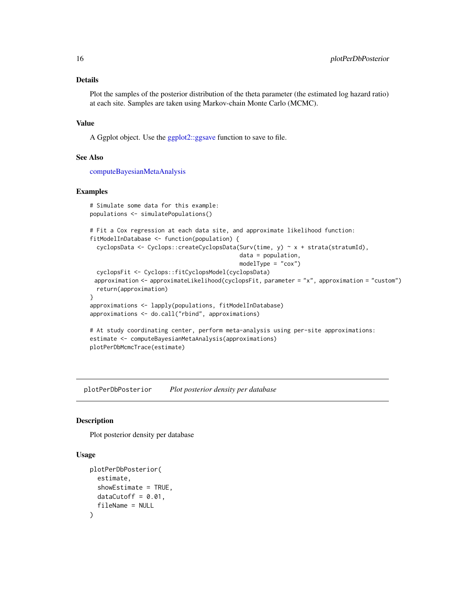#### <span id="page-15-0"></span>Details

Plot the samples of the posterior distribution of the theta parameter (the estimated log hazard ratio) at each site. Samples are taken using Markov-chain Monte Carlo (MCMC).

#### Value

A Ggplot object. Use the [ggplot2::ggsave](#page-0-0) function to save to file.

#### See Also

[computeBayesianMetaAnalysis](#page-2-1)

#### Examples

```
# Simulate some data for this example:
populations <- simulatePopulations()
# Fit a Cox regression at each data site, and approximate likelihood function:
fitModelInDatabase <- function(population) {
 cyclopsData <- Cyclops::createCyclopsData(Surv(time, y) ~ x + strata(stratumId),
                                            data = population,
                                            modelType = "cox")
 cyclopsFit <- Cyclops::fitCyclopsModel(cyclopsData)
 approximation <- approximateLikelihood(cyclopsFit, parameter = "x", approximation = "custom")
 return(approximation)
}
approximations <- lapply(populations, fitModelInDatabase)
approximations <- do.call("rbind", approximations)
# At study coordinating center, perform meta-analysis using per-site approximations:
estimate <- computeBayesianMetaAnalysis(approximations)
plotPerDbMcmcTrace(estimate)
```
plotPerDbPosterior *Plot posterior density per database*

#### Description

Plot posterior density per database

#### Usage

```
plotPerDbPosterior(
  estimate,
  showEstimate = TRUE,
 dataCutoff = 0.01,
  fileName = NULL
)
```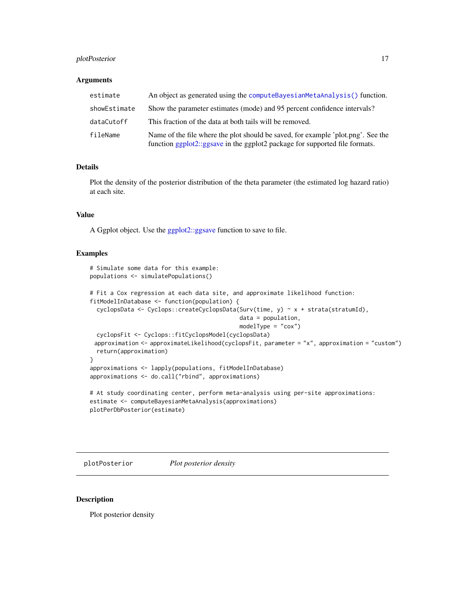#### <span id="page-16-0"></span>plotPosterior 17

#### **Arguments**

| estimate     | An object as generated using the compute Bayesian Meta Analysis () function.                                                                                     |
|--------------|------------------------------------------------------------------------------------------------------------------------------------------------------------------|
| showEstimate | Show the parameter estimates (mode) and 95 percent confidence intervals?                                                                                         |
| dataCutoff   | This fraction of the data at both tails will be removed.                                                                                                         |
| fileName     | Name of the file where the plot should be saved, for example 'plot, png'. See the<br>function ggplot2::ggsave in the ggplot2 package for supported file formats. |

## Details

Plot the density of the posterior distribution of the theta parameter (the estimated log hazard ratio) at each site.

#### Value

A Ggplot object. Use the [ggplot2::ggsave](#page-0-0) function to save to file.

#### Examples

```
# Simulate some data for this example:
populations <- simulatePopulations()
# Fit a Cox regression at each data site, and approximate likelihood function:
fitModelInDatabase <- function(population) {
 cyclopsData <- Cyclops::createCyclopsData(Surv(time, y) ~ x + strata(stratumId),
                                            data = population,
                                            modelType = "cox")
 cyclopsFit <- Cyclops::fitCyclopsModel(cyclopsData)
 approximation <- approximateLikelihood(cyclopsFit, parameter = "x", approximation = "custom")
 return(approximation)
}
approximations <- lapply(populations, fitModelInDatabase)
approximations <- do.call("rbind", approximations)
# At study coordinating center, perform meta-analysis using per-site approximations:
estimate <- computeBayesianMetaAnalysis(approximations)
plotPerDbPosterior(estimate)
```
plotPosterior *Plot posterior density*

## Description

Plot posterior density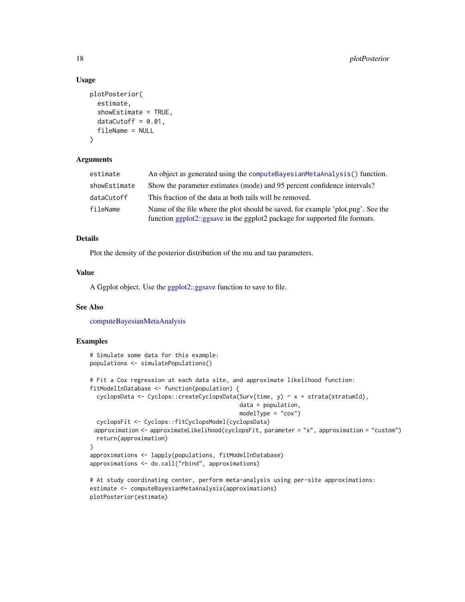#### Usage

```
plotPosterior(
  estimate,
  showEstimate = TRUE,
  dataCutoff = 0.01,fileName = NULL
\lambda
```
#### Arguments

| estimate     | An object as generated using the compute BayesianMetaAnalysis() function.                                                                                       |
|--------------|-----------------------------------------------------------------------------------------------------------------------------------------------------------------|
| showEstimate | Show the parameter estimates (mode) and 95 percent confidence intervals?                                                                                        |
| dataCutoff   | This fraction of the data at both tails will be removed.                                                                                                        |
| fileName     | Name of the file where the plot should be saved, for example 'plot.png'. See the<br>function ggplot2::ggsave in the ggplot2 package for supported file formats. |

#### Details

Plot the density of the posterior distribution of the mu and tau parameters.

#### Value

A Ggplot object. Use the [ggplot2::ggsave](#page-0-0) function to save to file.

#### See Also

[computeBayesianMetaAnalysis](#page-2-1)

```
# Simulate some data for this example:
populations <- simulatePopulations()
# Fit a Cox regression at each data site, and approximate likelihood function:
fitModelInDatabase <- function(population) {
 cyclopsData <- Cyclops::createCyclopsData(Surv(time, y) ~ x + strata(stratumId),
                                            data = population,
                                            modelType = "cox")cyclopsFit <- Cyclops::fitCyclopsModel(cyclopsData)
 approximation <- approximateLikelihood(cyclopsFit, parameter = "x", approximation = "custom")
 return(approximation)
}
approximations <- lapply(populations, fitModelInDatabase)
approximations <- do.call("rbind", approximations)
# At study coordinating center, perform meta-analysis using per-site approximations:
estimate <- computeBayesianMetaAnalysis(approximations)
plotPosterior(estimate)
```
<span id="page-17-0"></span>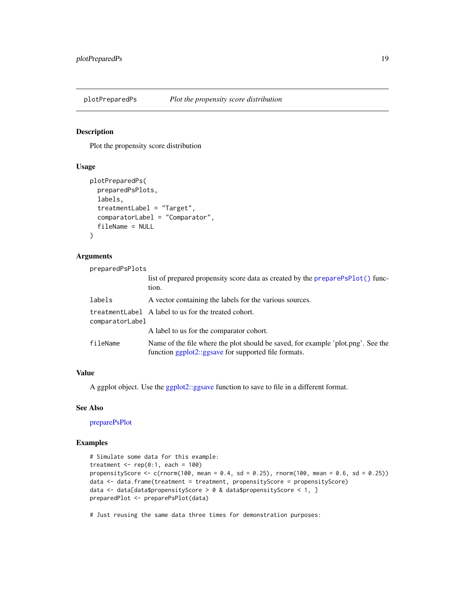<span id="page-18-1"></span><span id="page-18-0"></span>

#### **Description**

Plot the propensity score distribution

#### Usage

```
plotPreparedPs(
  preparedPsPlots,
  labels,
  treatmentLabel = "Target",
  comparatorLabel = "Comparator",
  fileName = NULL
\lambda
```
#### Arguments

preparedPsPlots list of prepared propensity score data as created by the [preparePsPlot\(\)](#page-19-1) function. labels A vector containing the labels for the various sources. treatmentLabel A label to us for the treated cohort. comparatorLabel A label to us for the comparator cohort. fileName Name of the file where the plot should be saved, for example 'plot.png'. See the function [ggplot2::ggsave](#page-0-0) for supported file formats.

### Value

A ggplot object. Use the [ggplot2::ggsave](#page-0-0) function to save to file in a different format.

#### See Also

[preparePsPlot](#page-19-1)

#### Examples

```
# Simulate some data for this example:
treatment \leq rep(0:1, each = 100)
propensityScore \leq c(rnorm(100, mean = 0.4, sd = 0.25), rnorm(100, mean = 0.6, sd = 0.25))
data <- data.frame(treatment = treatment, propensityScore = propensityScore)
data <- data[data$propensityScore > 0 & data$propensityScore < 1, ]
preparedPlot <- preparePsPlot(data)
```
# Just reusing the same data three times for demonstration purposes: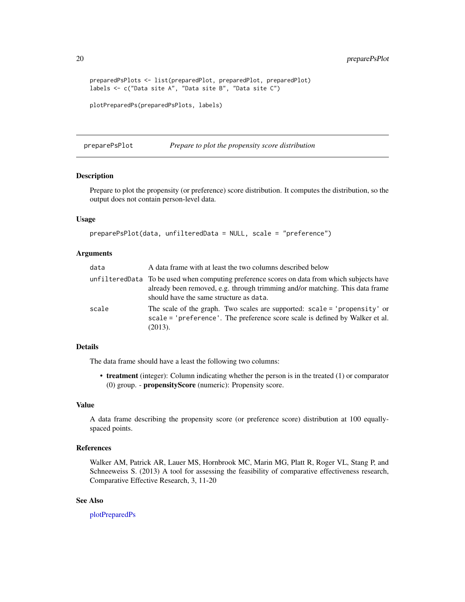<span id="page-19-0"></span>20 preparePsPlot

```
preparedPsPlots <- list(preparedPlot, preparedPlot, preparedPlot)
labels <- c("Data site A", "Data site B", "Data site C")
plotPreparedPs(preparedPsPlots, labels)
```
<span id="page-19-1"></span>preparePsPlot *Prepare to plot the propensity score distribution*

#### Description

Prepare to plot the propensity (or preference) score distribution. It computes the distribution, so the output does not contain person-level data.

#### Usage

```
preparePsPlot(data, unfilteredData = NULL, scale = "preference")
```
#### Arguments

| data  | A data frame with at least the two columns described below                                                                                                                                                              |
|-------|-------------------------------------------------------------------------------------------------------------------------------------------------------------------------------------------------------------------------|
|       | unfiltered Data To be used when computing preference scores on data from which subjects have<br>already been removed, e.g. through trimming and/or matching. This data frame<br>should have the same structure as data. |
| scale | The scale of the graph. Two scales are supported: scale = 'propensity' or<br>scale = 'preference'. The preference score scale is defined by Walker et al.<br>(2013).                                                    |

#### Details

The data frame should have a least the following two columns:

• treatment (integer): Column indicating whether the person is in the treated (1) or comparator (0) group. - propensityScore (numeric): Propensity score.

#### Value

A data frame describing the propensity score (or preference score) distribution at 100 equallyspaced points.

#### References

Walker AM, Patrick AR, Lauer MS, Hornbrook MC, Marin MG, Platt R, Roger VL, Stang P, and Schneeweiss S. (2013) A tool for assessing the feasibility of comparative effectiveness research, Comparative Effective Research, 3, 11-20

#### See Also

[plotPreparedPs](#page-18-1)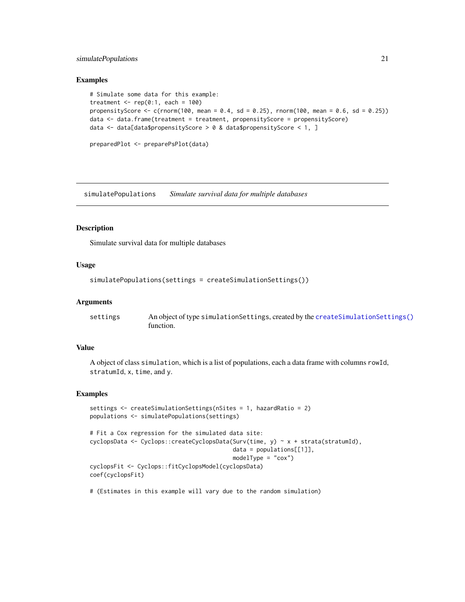#### <span id="page-20-0"></span>simulatePopulations 21

#### Examples

```
# Simulate some data for this example:
treatment \leq rep(0:1, each = 100)
propensityScore \leq c(rnorm(100, mean = 0.4, sd = 0.25), rnorm(100, mean = 0.6, sd = 0.25))
data <- data.frame(treatment = treatment, propensityScore = propensityScore)
data <- data[data$propensityScore > 0 & data$propensityScore < 1, ]
preparedPlot <- preparePsPlot(data)
```
<span id="page-20-1"></span>simulatePopulations *Simulate survival data for multiple databases*

#### Description

Simulate survival data for multiple databases

#### Usage

```
simulatePopulations(settings = createSimulationSettings())
```
#### Arguments

| settings | An object of type simulation Settings, created by the create Simulation Settings () |
|----------|-------------------------------------------------------------------------------------|
|          | function.                                                                           |

#### Value

A object of class simulation, which is a list of populations, each a data frame with columns rowId, stratumId, x, time, and y.

#### Examples

```
settings <- createSimulationSettings(nSites = 1, hazardRatio = 2)
populations <- simulatePopulations(settings)
# Fit a Cox regression for the simulated data site:
cyclopsData <- Cyclops::createCyclopsData(Surv(time, y) ~ x + strata(stratumId),
                                          data = population[1]],
                                          modelType = "cox")
cyclopsFit <- Cyclops::fitCyclopsModel(cyclopsData)
coef(cyclopsFit)
```
# (Estimates in this example will vary due to the random simulation)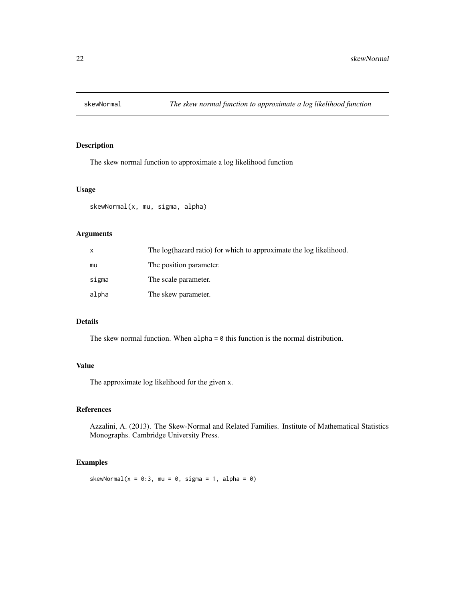<span id="page-21-0"></span>

#### Description

The skew normal function to approximate a log likelihood function

#### Usage

skewNormal(x, mu, sigma, alpha)

#### Arguments

| X     | The log(hazard ratio) for which to approximate the log likelihood. |
|-------|--------------------------------------------------------------------|
| mu    | The position parameter.                                            |
| sigma | The scale parameter.                                               |
| alpha | The skew parameter.                                                |

#### Details

The skew normal function. When  $alpha = 0$  this function is the normal distribution.

#### Value

The approximate log likelihood for the given x.

#### References

Azzalini, A. (2013). The Skew-Normal and Related Families. Institute of Mathematical Statistics Monographs. Cambridge University Press.

#### Examples

skewNormal( $x = 0:3$ , mu = 0, sigma = 1, alpha = 0)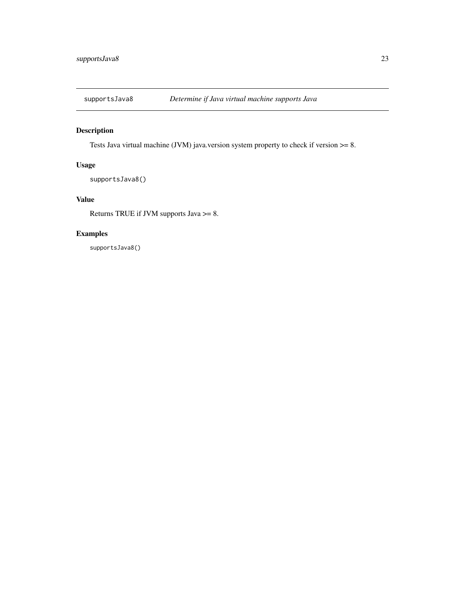<span id="page-22-0"></span>

## Description

Tests Java virtual machine (JVM) java.version system property to check if version >= 8.

#### Usage

supportsJava8()

## Value

Returns TRUE if JVM supports Java >= 8.

#### Examples

supportsJava8()